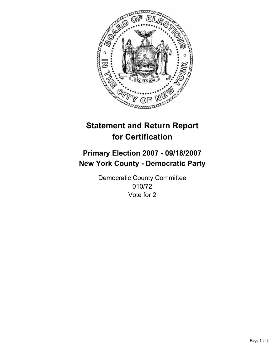

# **Statement and Return Report for Certification**

## **Primary Election 2007 - 09/18/2007 New York County - Democratic Party**

Democratic County Committee 010/72 Vote for 2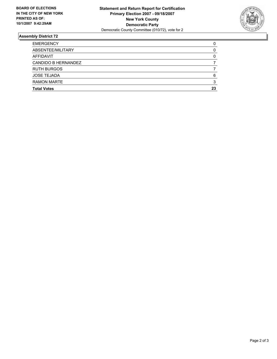

### **Assembly District 72**

| <b>EMERGENCY</b>    |    |
|---------------------|----|
| ABSENTEE/MILITARY   |    |
| AFFIDAVIT           |    |
| CANDIDO B HERNANDEZ |    |
| <b>RUTH BURGOS</b>  |    |
| <b>JOSE TEJADA</b>  |    |
| <b>RAMON MARTE</b>  |    |
| <b>Total Votes</b>  | 23 |